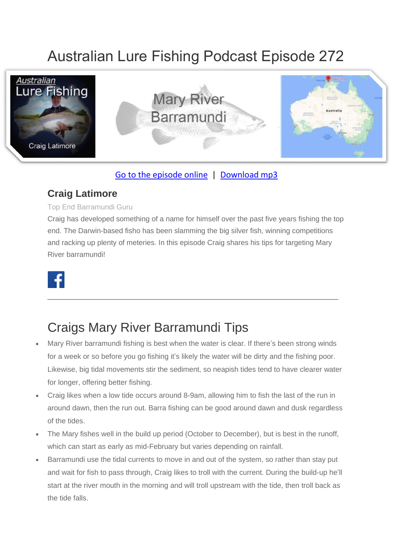# Australian Lure Fishing Podcast Episode 272



#### [Go to the episode online](https://doclures.com/mary-river-barramundi-craig-latimore/) | [Download mp3](https://traffic.libsyn.com/secure/doclures/kununurra-barramundi-dick-pasfield.mp3)

#### **Craig Latimore**

Top End Barramundi Guru

Craig has developed something of a name for himself over the past five years fishing the top end. The Darwin-based fisho has been slamming the big silver fish, winning competitions and racking up plenty of meteries. In this episode Craig shares his tips for targeting Mary River barramundi!

\_\_\_\_\_\_\_\_\_\_\_\_\_\_\_\_\_\_\_\_\_\_\_\_\_\_\_\_\_\_\_\_\_\_\_\_\_\_\_\_\_\_\_\_\_\_\_\_\_\_\_\_\_\_\_\_\_\_\_\_\_



### Craigs Mary River Barramundi Tips

- Mary River barramundi fishing is best when the water is clear. If there's been strong winds for a week or so before you go fishing it's likely the water will be dirty and the fishing poor. Likewise, big tidal movements stir the sediment, so neapish tides tend to have clearer water for longer, offering better fishing.
- Craig likes when a low tide occurs around 8-9am, allowing him to fish the last of the run in around dawn, then the run out. Barra fishing can be good around dawn and dusk regardless of the tides.
- The Mary fishes well in the build up period (October to December), but is best in the runoff, which can start as early as mid-February but varies depending on rainfall.
- Barramundi use the tidal currents to move in and out of the system, so rather than stay put and wait for fish to pass through, Craig likes to troll with the current. During the build-up he'll start at the river mouth in the morning and will troll upstream with the tide, then troll back as the tide falls.